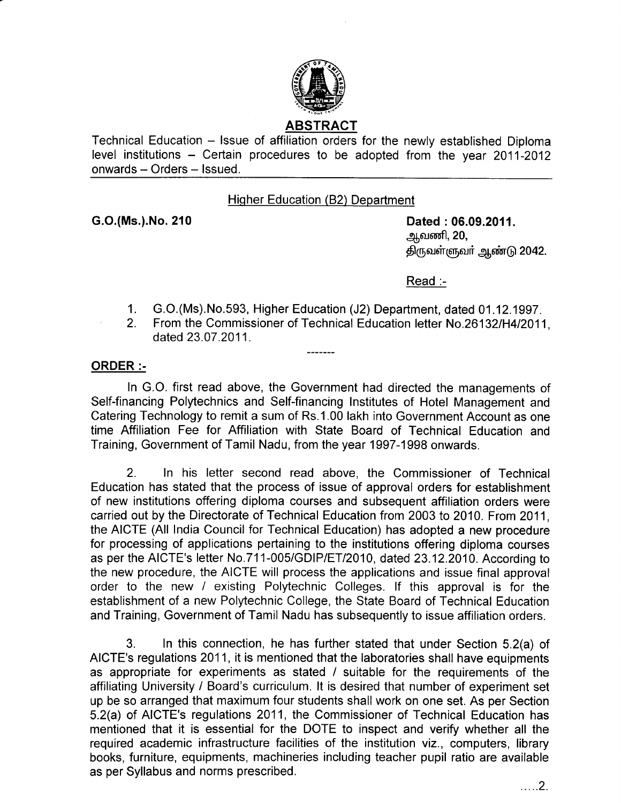

Technical Education – Issue of affiliation orders for the newly established Diploma level institutions – Certain procedures to be adopted from the year 2011-2012 onwards - Orders - Issued.

#### Hiqher Education (82) Department

G.O.(Ms.).No. 210 Dated : 06.09.2011. <u>ஆ</u>வணி, 20, திருவள்ளுவர் ஆண்டு 2042.

Read :-

- 1. G.O.(Ms).No.593, Higher Education (J2) Department, dated 01.12,1997.
- 2. From the Commissioner of Technical Education letter No.261321H412011. dated 23.07.2011.

## ORDER :-

In G.O. first read above, the Government had directed the managements of Self-financing Polytechnics and Self-financing Institutes of Hotel Management and Catering Technology to remit a sum of Rs.1.00 lakh into Government Account as one time Affiliation Fee for Affiliation with State Board of Technical Education and Training, Government of Tamil Nadu, from the year 1997-1998 onwards.

2. In his letter second read above, the Commissioner of Technical Education has stated that the process of issue of approval orders for establishment of new institutions offering diploma courses and subsequent affiliation orders were carried out by the Directorate of Technical Education from 2003 to 2010. From 2011, the AICTE (All India Council for Technical Education) has adopted a new procedure for processing of applications pertaining to the institutions offering diploma courses as per the AICTE's letter No.711-005/GDIP/ET/2010, dated 23.12.2010. According to the new procedure, the AICTE will process the applications and issue final approval order to the new / existing Polytechnic Colleges. lf this approval is for the establishment of a new Polytechnic College, the State Board of Technical Education and Training, Government of Tamil Nadu has subsequently to issue affiliation orders.

3. In this connection, he has further stated that under Section 5,2(a) of AICTE's regulations 2011, it is mentioned that the laboratories shall have equipments as appropriate for experiments as stated / suitable for the requirements of the affiliating University / Board's curriculum. lt is desired that number of experiment set up be so arranged that maximum four students shall work on one set. As per Section 5.2(a) of AICTE's regulations 2011, the Commissioner of Technical Education has mentioned that it is essential for the DOTE to inspect and verify whether all the required academic infrastructure facilities of the institution viz., computers, library books, furniture, equipments, machineries including teacher pupil ratio are available as per Syllabus and norms prescribed.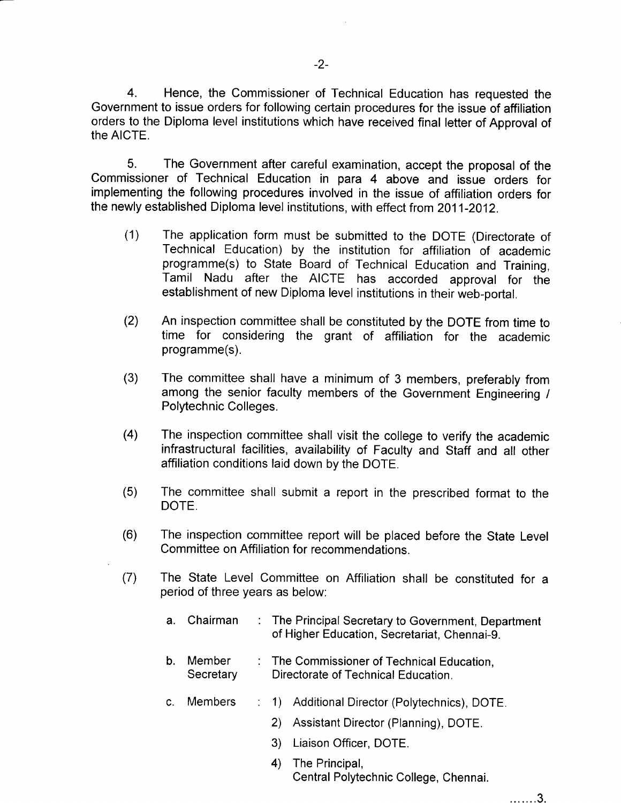4. Hence, the Commissioner of Technical Education has requested the Government to issue orders for following certain procedures for the issue of affiliation orders to the Diploma level institutions which have received final letter of Approval of the AICTE.

5. The Government after careful examination, accept the proposal of the Commissioner of Technical Education in para 4 above and issue orders for implementing the following procedures involved in the issue of affiliation orders for the newly established Diploma level institutions, with effect from 2011-2012.

- (1) The application form must be submitted to the DOTE (Directorate of Technical Education) by the institution for affiliation of academic programme(s) to State Board of Technical Education and Training, Tamil Nadu after the AICTE has accorded approval for the establishment of new Diploma level institutions in their web-portal.
- (2) An inspection committee shall be constituted by the DOTE from time to time for considering the grant of affiliation for the academic programme(s).
- The committee shall have a minimum of 3 members, preferably from among the senior faculty members of the Government Engineering / Polytechnic Colleges. (3)
- (4) The inspection committee shall visit the college to verify the academic infrastructural facilities, availability of Faculty and Staff and all other affiliation conditions laid down by the DOTE.
- (5) The committee shall submit a report in the prescribed format to the DOTE.
- The inspection committee report will be placed before the State Level Committee on Affiliation for recommendations. (6)
- The State Level Committee on Affiliation shall be constituted for a period of three years as below: (7)
	- a. Chairman : The Principal Secretary to Government, Department of Higher Education, Secretariat, Chennai-9.
	- b. Member : The Commissioner of Technical Education. Secretary Directorate of Technical Education.
	- : 1) Additional Director (Polytechnics), DOTE. c. Members
		- 2) Assistant Director (Planning), DOTE.
		- 3) Liaison Officer, DOTE.
		- 4) The Principal, Central Polytechnic College, Chennai.

. . . . . . . 3.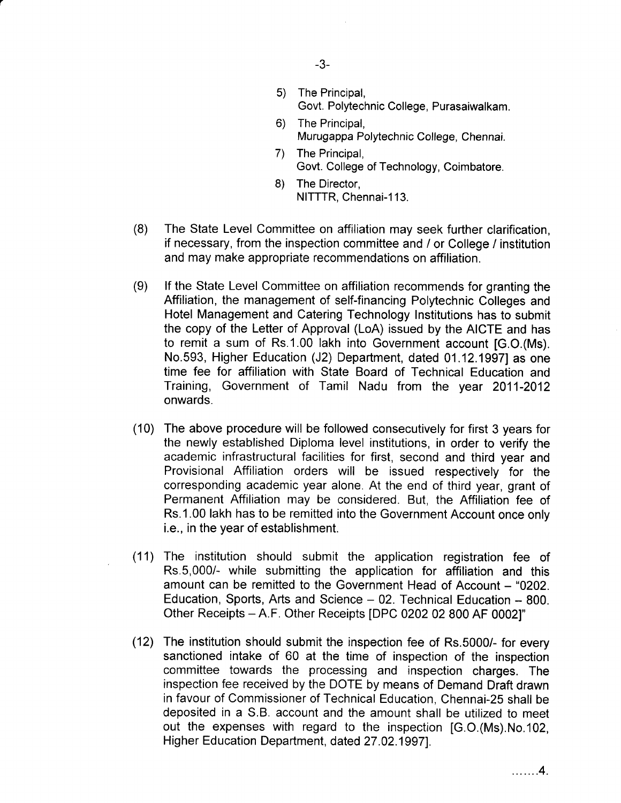- The Principal, Govt. Polytechnic College, Purasaiwalkam. 5)
- The Principal, Murugappa Polytechnic College, Chennai. 6)
- The Principal, Govt. College of Technology, Coimbatore.  $(7)$
- The Director, NITTTR, Chennai-113. 8)
- (8) The State Level Committee on affiliation may seek further clarification, if necessary, from the inspection committee and / or College / institution and may make appropriate recommendations on affiliation.
- (9) lf the State Level Committee on affiliation recommends for granting the Affiliation, the management of self-financing Polytechnic Colleges and Hotel Management and Catering Technology Institutions has to submit the copy of the Letter of Approval (LoA) issued by the AICTE and has to remit a sum of Rs.1.00 lakh into Government account [G.O.(Ms). No.593, Higher Education (J2) Department, dated 01.12.19971 as one time fee for affiliation with State Board of Technical Education and Training, Government of Tamil Nadu from the year 2011-2012 onwards.
- (10) The above procedure will be followed consecutively for first 3 years for the newly established Diploma level institutions, in order to verify the academic infrastructural facilities for first, second and third year and Provisional Affiliation orders will be issued respectively for the corresponding academic year alone. At the end of third year, grant of Permanent Affiliation may be considered. But, the Affiliation fee of Rs.1.00 lakh has to be remitted into the Government Account once only i.e., in the year of establishment.
- (11) The institution should submit the application registration fee of Rs.5,000/- while submitting the application for affiliation and this amount can be remitted to the Government Head of Account - "0202. Education, Sports, Arts and Science  $-02$ . Technical Education  $-800$ . Other Receipts - A.F. Other Receipts IDPC 0202 02 800 AF 0002]'
- (12) The institution should submit the inspection fee of Rs.5000/- for every sanctioned intake of 60 at the time of inspection of the inspection committee towards the processing and inspection charges. The inspection fee received by the DOTE by means of Demand Draft drawn in favour of Commissioner of Technical Education, Chennai-25 shall be deposited in a S.B. account and the amount shall be utilized to meet out the expenses with regard to the inspection [G.O.(Ms).No.102, Higher Education Department, dated 27.02.1997].